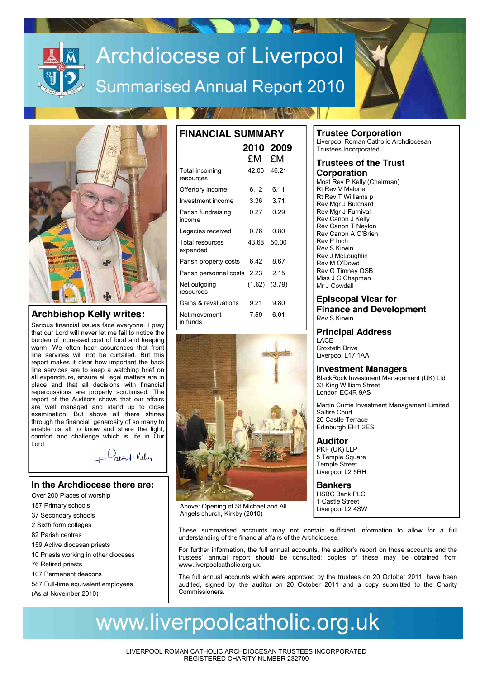# Archdiocese of Liverpool Summarised Annual Report 2010



# **Archbishop Kelly writes:**

Serious financial issues face everyone. I pray that our Lord will never let me fail to notice the burden of increased cost of food and keeping warm. We often hear assurances that front line services will not be curtailed. But this report makes it clear how important the back line services are to keep a watching brief on all expenditure, ensure all legal matters are in place and that all decisions with financial repercussions are properly scrutinised. The report of the Auditors shows that our affairs are well managed and stand up to close examination. But above all there shines through the financial generosity of so many to enable us all to know and share the light, comfort and challenge which is life in Our Lord.

+ Patril Kelly

## **In the Archdiocese there are:**

- Over 200 Places of worship
- 187 Primary schools
- 37 Secondary schools
- 2 Sixth form colleges
- 82 Parish centres
- 159 Active diocesan priests
- 10 Priests working in other dioceses
- 76 Retired priests
- 107 Permanent deacons
- 587 Full-time equivalent employees
- (As at November 2010)

| <b>FINANCIAL SUMMARY</b>     |             |                   |  |  |  |  |
|------------------------------|-------------|-------------------|--|--|--|--|
|                              | £M          | 2010 2009<br>£M   |  |  |  |  |
| Total incoming<br>resources  | 42.06 46.21 |                   |  |  |  |  |
| Offertory income             | 6.12        | 6.11              |  |  |  |  |
| Investment income            | 3.36        | 3.71              |  |  |  |  |
| Parish fundraising<br>income | 0.27        | በ 29              |  |  |  |  |
| Legacies received            | 0.76        | 0.80              |  |  |  |  |
| Total resources<br>expended  | 43.68       | 50.00             |  |  |  |  |
| Parish property costs        | ճ 42        | 8.67              |  |  |  |  |
| Parish personnel costs 2.23  |             | 2 15              |  |  |  |  |
| Net outgoing<br>resources    |             | $(1.62)$ $(3.79)$ |  |  |  |  |
| Gains & revaluations         | 9 21        | 9.80              |  |  |  |  |
| Net movement<br>in funds     | 7.59        | 6 01              |  |  |  |  |



Above: Opening of St Michael and All Angels church, Kirkby (2010)

**Trustee Corporation** Liverpool Roman Catholic Archdiocesan

Trustees Incorporated

#### **Trustees of the Trust Corporation**

Most Rev P Kelly (Chairman) Rt Rev V Malone Rt Rev T Williams p Rev Mgr J Butchard Rev Mgr J Furnival Rev Canon J Kelly Rev Canon T Neylon Rev Canon A O'Brien Rev P Inch Rev S Kirwin Rev J McLoughlin Rev M O'Dowd Rev G Timney OSB Miss J C Chapman Mr J Cowdall

### **Episcopal Vicar for Finance and Development**

Rev S Kirwin

# **Principal Address**

LACE Croxteth Drive Liverpool L17 1AA

### **Investment Managers**

BlackRock Investment Management (UK) Ltd 33 King William Street London EC4R 9AS

Martin Currie Investment Management Limited Saltire Court 20 Castle Terrace Edinburgh EH1 2ES

## **Auditor**

PKF (UK) LLP 5 Temple Square Temple Street Liverpool L2 5RH

**Bankers** HSBC Bank PLC 1 Castle Street Liverpool L2 4SW

These summarised accounts may not contain sufficient information to allow for a full understanding of the financial affairs of the Archdiocese.

For further information, the full annual accounts, the auditor's report on those accounts and the trustees' annual report should be consulted; copies of these may be obtained from www.liverpoolcatholic.org.uk.

The full annual accounts which were approved by the trustees on 20 October 2011, have been audited, signed by the auditor on 20 October 2011 and a copy submitted to the Charity Commissioners.

# www.liverpoolcatholic.org.uk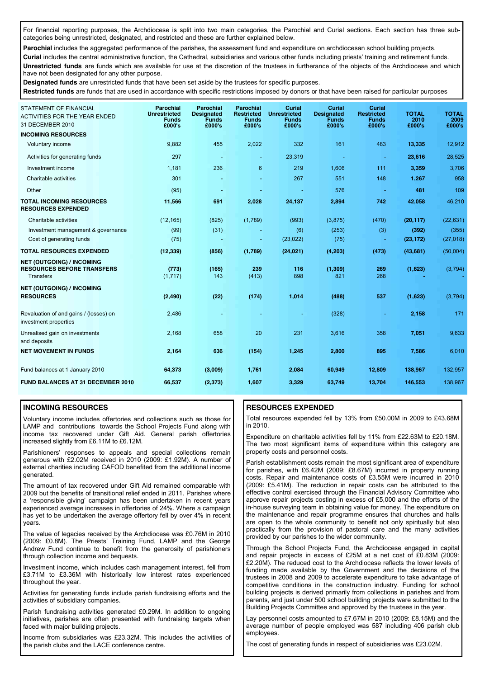For financial reporting purposes, the Archdiocese is split into two main categories, the Parochial and Curial sections. Each section has three subcategories being unrestricted, designated, and restricted and these are further explained below.

Parochial includes the aggregated performance of the parishes, the assessment fund and expenditure on archdiocesan school building projects.

**Curial** includes the central administrative function, the Cathedral, subsidiaries and various other funds including priests' training and retirement funds. **Unrestricted funds** are funds which are available for use at the discretion of the trustees in furtherance of the objects of the Archdiocese and which have not been designated for any other purpose.

**Designated funds** are unrestricted funds that have been set aside by the trustees for specific purposes.

**Restricted funds** are funds that are used in accordance with specific restrictions imposed by donors or that have been raised for particular purposes

| <b>STATEMENT OF FINANCIAL</b><br><b>ACTIVITIES FOR THE YEAR ENDED</b><br>31 DECEMBER 2010 | Parochial<br><b>Unrestricted</b><br><b>Funds</b><br>£000's | <b>Parochial</b><br><b>Designated</b><br>Funds<br>£000's | <b>Parochial</b><br><b>Restricted</b><br><b>Funds</b><br>£000's | Curial<br><b>Unrestricted</b><br><b>Funds</b><br>£000's | Curial<br><b>Designated</b><br>Funds<br>£000's | <b>Curial</b><br><b>Restricted</b><br><b>Funds</b><br>£000's | <b>TOTAL</b><br>2010<br>£000's | <b>TOTAL</b><br>2009<br>£000's |
|-------------------------------------------------------------------------------------------|------------------------------------------------------------|----------------------------------------------------------|-----------------------------------------------------------------|---------------------------------------------------------|------------------------------------------------|--------------------------------------------------------------|--------------------------------|--------------------------------|
| <b>INCOMING RESOURCES</b>                                                                 |                                                            |                                                          |                                                                 |                                                         |                                                |                                                              |                                |                                |
| Voluntary income                                                                          | 9,882                                                      | 455                                                      | 2,022                                                           | 332                                                     | 161                                            | 483                                                          | 13,335                         | 12,912                         |
| Activities for generating funds                                                           | 297                                                        |                                                          | $\blacksquare$                                                  | 23,319                                                  |                                                |                                                              | 23,616                         | 28,525                         |
| Investment income                                                                         | 1,181                                                      | 236                                                      | 6                                                               | 219                                                     | 1,606                                          | 111                                                          | 3,359                          | 3,706                          |
| Charitable activities                                                                     | 301                                                        |                                                          |                                                                 | 267                                                     | 551                                            | 148                                                          | 1,267                          | 958                            |
| Other                                                                                     | (95)                                                       |                                                          | ٠                                                               | $\sim$                                                  | 576                                            | $\blacksquare$                                               | 481                            | 109                            |
| <b>TOTAL INCOMING RESOURCES</b><br><b>RESOURCES EXPENDED</b>                              | 11,566                                                     | 691                                                      | 2,028                                                           | 24,137                                                  | 2,894                                          | 742                                                          | 42,058                         | 46,210                         |
| Charitable activities                                                                     | (12, 165)                                                  | (825)                                                    | (1,789)                                                         | (993)                                                   | (3,875)                                        | (470)                                                        | (20, 117)                      | (22, 631)                      |
| Investment management & governance                                                        | (99)                                                       | (31)                                                     |                                                                 | (6)                                                     | (253)                                          | (3)                                                          | (392)                          | (355)                          |
| Cost of generating funds                                                                  | (75)                                                       |                                                          | ٠                                                               | (23, 022)                                               | (75)                                           | $\blacksquare$                                               | (23, 172)                      | (27, 018)                      |
| <b>TOTAL RESOURCES EXPENDED</b>                                                           | (12, 339)                                                  | (856)                                                    | (1,789)                                                         | (24, 021)                                               | (4, 203)                                       | (473)                                                        | (43, 681)                      | (50,004)                       |
| <b>NET (OUTGOING) / INCOMING</b><br><b>RESOURCES BEFORE TRANSFERS</b><br><b>Transfers</b> | (773)<br>(1,717)                                           | (165)<br>143                                             | 239<br>(413)                                                    | 116<br>898                                              | (1, 309)<br>821                                | 269<br>268                                                   | (1,623)                        | (3,794)                        |
| <b>NET (OUTGOING) / INCOMING</b><br><b>RESOURCES</b>                                      | (2, 490)                                                   | (22)                                                     | (174)                                                           | 1,014                                                   | (488)                                          | 537                                                          | (1,623)                        | (3,794)                        |
| Revaluation of and gains / (losses) on<br>investment properties                           | 2,486                                                      |                                                          |                                                                 |                                                         | (328)                                          | ٠                                                            | 2,158                          | 171                            |
| Unrealised gain on investments<br>and deposits                                            | 2,168                                                      | 658                                                      | 20                                                              | 231                                                     | 3,616                                          | 358                                                          | 7,051                          | 9,633                          |
| <b>NET MOVEMENT IN FUNDS</b>                                                              | 2,164                                                      | 636                                                      | (154)                                                           | 1,245                                                   | 2,800                                          | 895                                                          | 7,586                          | 6,010                          |
| Fund balances at 1 January 2010                                                           | 64,373                                                     | (3,009)                                                  | 1,761                                                           | 2,084                                                   | 60,949                                         | 12,809                                                       | 138,967                        | 132,957                        |
| <b>FUND BALANCES AT 31 DECEMBER 2010</b>                                                  | 66,537                                                     | (2, 373)                                                 | 1,607                                                           | 3,329                                                   | 63,749                                         | 13,704                                                       | 146,553                        | 138,967                        |

#### **INCOMING RESOURCES**

Voluntary income includes offertories and collections such as those for LAMP and contributions towards the School Projects Fund along with income tax recovered under Gift Aid. General parish offertories increased slightly from £6.11M to £6.12M.

Parishioners' responses to appeals and special collections remain generous with £2.02M received in 2010 (2009: £1.92M). A number of external charities including CAFOD benefited from the additional income generated.

The amount of tax recovered under Gift Aid remained comparable with 2009 but the benefits of transitional relief ended in 2011. Parishes where a 'responsible giving' campaign has been undertaken in recent years experienced average increases in offertories of 24%. Where a campaign has yet to be undertaken the average offertory fell by over 4% in recent years.

The value of legacies received by the Archdiocese was £0.76M in 2010 (2009: £0.8M). The Priests' Training Fund, LAMP and the George Andrew Fund continue to benefit from the generosity of parishioners through collection income and bequests.

Investment income, which includes cash management interest, fell from £3.71M to £3.36M with historically low interest rates experienced throughout the year.

Activities for generating funds include parish fundraising efforts and the activities of subsidiary companies.

Parish fundraising activities generated £0.29M. In addition to ongoing initiatives, parishes are often presented with fundraising targets when faced with major building projects.

Income from subsidiaries was £23.32M. This includes the activities of the parish clubs and the LACE conference centre.

#### **RESOURCES EXPENDED**

Total resources expended fell by 13% from £50.00M in 2009 to £43.68M in 2010.

Expenditure on charitable activities fell by 11% from £22.63M to £20.18M. The two most significant items of expenditure within this category are property costs and personnel costs.

Parish establishment costs remain the most significant area of expenditure for parishes, with £6.42M (2009: £8.67M) incurred in property running costs. Repair and maintenance costs of £3.55M were incurred in 2010 (2009: £5.41M). The reduction in repair costs can be attributed to the effective control exercised through the Financial Advisory Committee who approve repair projects costing in excess of £5,000 and the efforts of the in-house surveying team in obtaining value for money. The expenditure on the maintenance and repair programme ensures that churches and halls are open to the whole community to benefit not only spiritually but also practically from the provision of pastoral care and the many activities provided by our parishes to the wider community.

Through the School Projects Fund, the Archdiocese engaged in capital and repair projects in excess of £25M at a net cost of £0.83M (2009: £2.20M). The reduced cost to the Archdiocese reflects the lower levels of funding made available by the Government and the decisions of the trustees in 2008 and 2009 to accelerate expenditure to take advantage of competitive conditions in the construction industry. Funding for school building projects is derived primarily from collections in parishes and from parents, and just under 500 school building projects were submitted to the Building Projects Committee and approved by the trustees in the year.

Lay personnel costs amounted to £7.67M in 2010 (2009: £8.15M) and the average number of people employed was 587 including 406 parish club employees.

The cost of generating funds in respect of subsidiaries was £23.02M.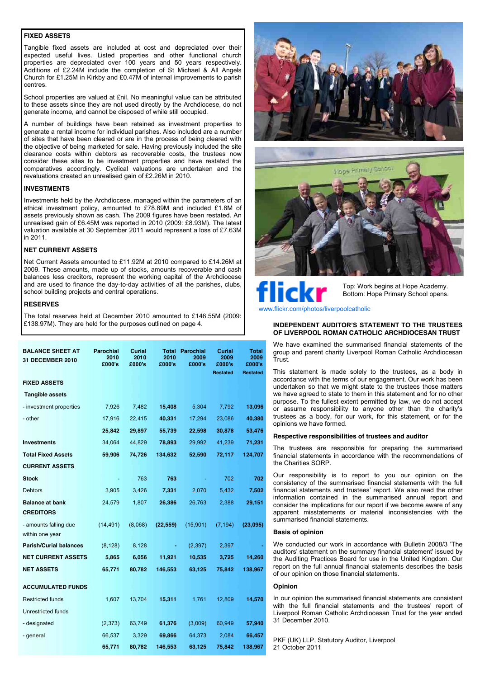#### **FIXED ASSETS**

Tangible fixed assets are included at cost and depreciated over their expected useful lives. Listed properties and other functional church properties are depreciated over 100 years and 50 years respectively. Additions of £2.24M include the completion of St Michael & All Angels Church for £1.25M in Kirkby and £0.47M of internal improvements to parish centres.

School properties are valued at £nil. No meaningful value can be attributed to these assets since they are not used directly by the Archdiocese, do not generate income, and cannot be disposed of while still occupied.

A number of buildings have been retained as investment properties to generate a rental income for individual parishes. Also included are a number of sites that have been cleared or are in the process of being cleared with the objective of being marketed for sale. Having previously included the site clearance costs within debtors as recoverable costs, the trustees now consider these sites to be investment properties and have restated the comparatives accordingly. Cyclical valuations are undertaken and the revaluations created an unrealised gain of £2.26M in 2010.

#### **INVESTMENTS**

Investments held by the Archdiocese, managed within the parameters of an ethical investment policy, amounted to £78.89M and included £1.8M of assets previously shown as cash. The 2009 figures have been restated. An unrealised gain of £6.45M was reported in 2010 (2009: £8.93M). The latest valuation available at 30 September 2011 would represent a loss of £7.63M in 2011.

#### **NET CURRENT ASSETS**

Net Current Assets amounted to £11.92M at 2010 compared to £14.26M at 2009. These amounts, made up of stocks, amounts recoverable and cash balances less creditors, represent the working capital of the Archdiocese and are used to finance the day-to-day activities of all the parishes, clubs, school building projects and central operations.

#### **RESERVES**

The total reserves held at December 2010 amounted to £146.55M (2009: £138.97M). They are held for the purposes outlined on page 4.

| <b>BALANCE SHEET AT</b><br>31 DECEMBER 2010 | Parochial<br>2010<br>£000's | Curial<br>2010<br>£000's | Total<br>2010<br>£000's | Parochial<br>2009<br>£000's | Curial<br>2009<br>£000's<br><b>Restated</b> | Total<br>2009<br>£000's<br><b>Restated</b> |
|---------------------------------------------|-----------------------------|--------------------------|-------------------------|-----------------------------|---------------------------------------------|--------------------------------------------|
| <b>FIXED ASSETS</b>                         |                             |                          |                         |                             |                                             |                                            |
| <b>Tangible assets</b>                      |                             |                          |                         |                             |                                             |                                            |
| - investment properties                     | 7,926                       | 7,482                    | 15,408                  | 5,304                       | 7,792                                       | 13,096                                     |
| - other                                     | 17,916                      | 22,415                   | 40,331                  | 17,294                      | 23,086                                      | 40,380                                     |
|                                             | 25,842                      | 29,897                   | 55,739                  | 22,598                      | 30,878                                      | 53,476                                     |
| <b>Investments</b>                          | 34,064                      | 44,829                   | 78,893                  | 29,992                      | 41,239                                      | 71,231                                     |
| <b>Total Fixed Assets</b>                   | 59,906                      | 74,726                   | 134,632                 | 52,590                      | 72,117                                      | 124,707                                    |
| <b>CURRENT ASSETS</b>                       |                             |                          |                         |                             |                                             |                                            |
| <b>Stock</b>                                |                             | 763                      | 763                     |                             | 702                                         | 702                                        |
| Debtors                                     | 3,905                       | 3,426                    | 7,331                   | 2,070                       | 5,432                                       | 7,502                                      |
| <b>Balance at bank</b>                      | 24,579                      | 1,807                    | 26,386                  | 26,763                      | 2,388                                       | 29,151                                     |
| <b>CREDITORS</b>                            |                             |                          |                         |                             |                                             |                                            |
| - amounts falling due<br>within one year    | (14, 491)                   | (8,068)                  | (22, 559)               | (15,901)                    | (7, 194)                                    | (23,095)                                   |
| <b>Parish/Curial balances</b>               | (8, 128)                    | 8,128                    |                         | (2, 397)                    | 2,397                                       |                                            |
| <b>NET CURRENT ASSETS</b>                   | 5,865                       | 6,056                    | 11,921                  | 10,535                      | 3,725                                       | 14,260                                     |
| <b>NET ASSETS</b>                           | 65,771                      | 80,782                   | 146,553                 | 63,125                      | 75,842                                      | 138,967                                    |
| <b>ACCUMULATED FUNDS</b>                    |                             |                          |                         |                             |                                             |                                            |
| <b>Restricted funds</b>                     | 1,607                       | 13,704                   | 15,311                  | 1,761                       | 12,809                                      | 14,570                                     |
| Unrestricted funds                          |                             |                          |                         |                             |                                             |                                            |
| - designated                                | (2, 373)                    | 63,749                   | 61,376                  | (3,009)                     | 60,949                                      | 57,940                                     |
| - general                                   | 66,537                      | 3,329                    | 69,866                  | 64,373                      | 2,084                                       | 66,457                                     |
|                                             | 65,771                      | 80,782                   | 146,553                 | 63,125                      | 75,842                                      | 138,967                                    |





# lickı

Top: Work begins at Hope Academy. Bottom: Hope Primary School opens.

www.flickr.com/photos/liverpoolcatholic

#### **INDEPENDENT AUDITOR'S STATEMENT TO THE TRUSTEES OF LIVERPOOL ROMAN CATHOLIC ARCHDIOCESAN TRUST**

We have examined the summarised financial statements of the group and parent charity Liverpool Roman Catholic Archdiocesan Trust.

This statement is made solely to the trustees, as a body in accordance with the terms of our engagement. Our work has been undertaken so that we might state to the trustees those matters we have agreed to state to them in this statement and for no other purpose. To the fullest extent permitted by law, we do not accept or assume responsibility to anyone other than the charity's trustees as a body, for our work, for this statement, or for the opinions we have formed.

#### **Respective responsibilities of trustees and auditor**

The trustees are responsible for preparing the summarised financial statements in accordance with the recommendations of the Charities SORP.

Our responsibility is to report to you our opinion on the consistency of the summarised financial statements with the full financial statements and trustees' report. We also read the other information contained in the summarised annual report and consider the implications for our report if we become aware of any apparent misstatements or material inconsistencies with the summarised financial statements.

#### **Basis of opinion**

We conducted our work in accordance with Bulletin 2008/3 'The auditors' statement on the summary financial statement' issued by the Auditing Practices Board for use in the United Kingdom. Our report on the full annual financial statements describes the basis of our opinion on those financial statements.

#### **Opinion**

In our opinion the summarised financial statements are consistent with the full financial statements and the trustees' report of Liverpool Roman Catholic Archdiocesan Trust for the year ended 31 December 2010.

PKF (UK) LLP, Statutory Auditor, Liverpool 21 October 2011